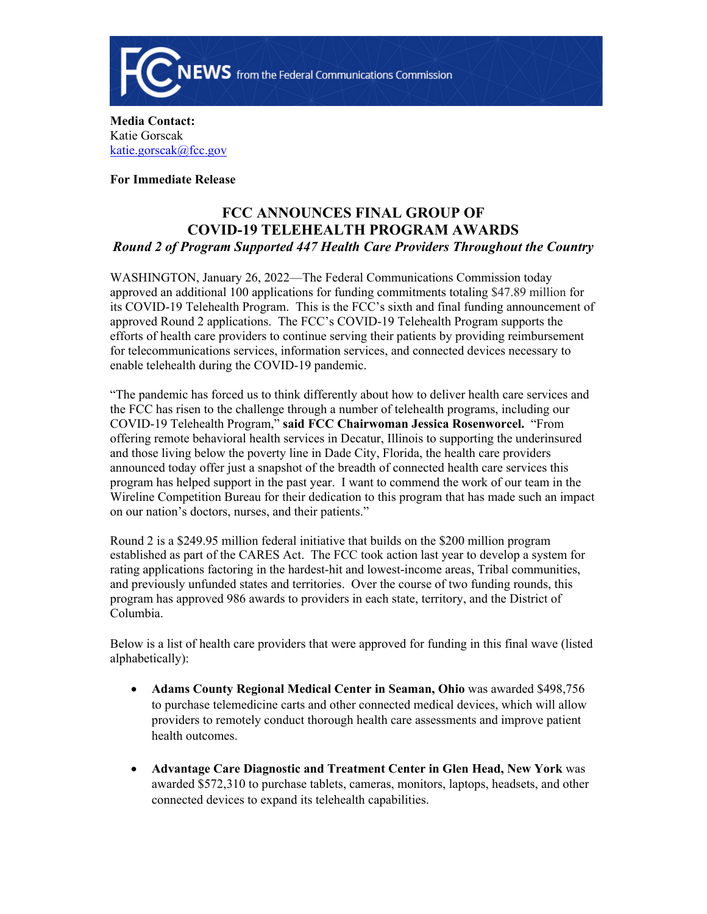

**Media Contact:**  Katie Gorscak [katie.gorscak@fcc.gov](mailto:katie.gorscak@fcc.gov)

**For Immediate Release**

## **FCC ANNOUNCES FINAL GROUP OF COVID-19 TELEHEALTH PROGRAM AWARDS** *Round 2 of Program Supported 447 Health Care Providers Throughout the Country*

WASHINGTON, January 26, 2022—The Federal Communications Commission today approved an additional 100 applications for funding commitments totaling \$47.89 million for its COVID-19 Telehealth Program. This is the FCC's sixth and final funding announcement of approved Round 2 applications. The FCC's COVID-19 Telehealth Program supports the efforts of health care providers to continue serving their patients by providing reimbursement for telecommunications services, information services, and connected devices necessary to enable telehealth during the COVID-19 pandemic.

"The pandemic has forced us to think differently about how to deliver health care services and the FCC has risen to the challenge through a number of telehealth programs, including our COVID-19 Telehealth Program," **said FCC Chairwoman Jessica Rosenworcel.** "From offering remote behavioral health services in Decatur, Illinois to supporting the underinsured and those living below the poverty line in Dade City, Florida, the health care providers announced today offer just a snapshot of the breadth of connected health care services this program has helped support in the past year. I want to commend the work of our team in the Wireline Competition Bureau for their dedication to this program that has made such an impact on our nation's doctors, nurses, and their patients."

Round 2 is a \$249.95 million federal initiative that builds on the \$200 million program established as part of the CARES Act. The FCC took action last year to develop a system for rating applications factoring in the hardest-hit and lowest-income areas, Tribal communities, and previously unfunded states and territories. Over the course of two funding rounds, this program has approved 986 awards to providers in each state, territory, and the District of Columbia.

Below is a list of health care providers that were approved for funding in this final wave (listed alphabetically):

- **Adams County Regional Medical Center in Seaman, Ohio** was awarded \$498,756 to purchase telemedicine carts and other connected medical devices, which will allow providers to remotely conduct thorough health care assessments and improve patient health outcomes.
- **Advantage Care Diagnostic and Treatment Center in Glen Head, New York** was awarded \$572,310 to purchase tablets, cameras, monitors, laptops, headsets, and other connected devices to expand its telehealth capabilities.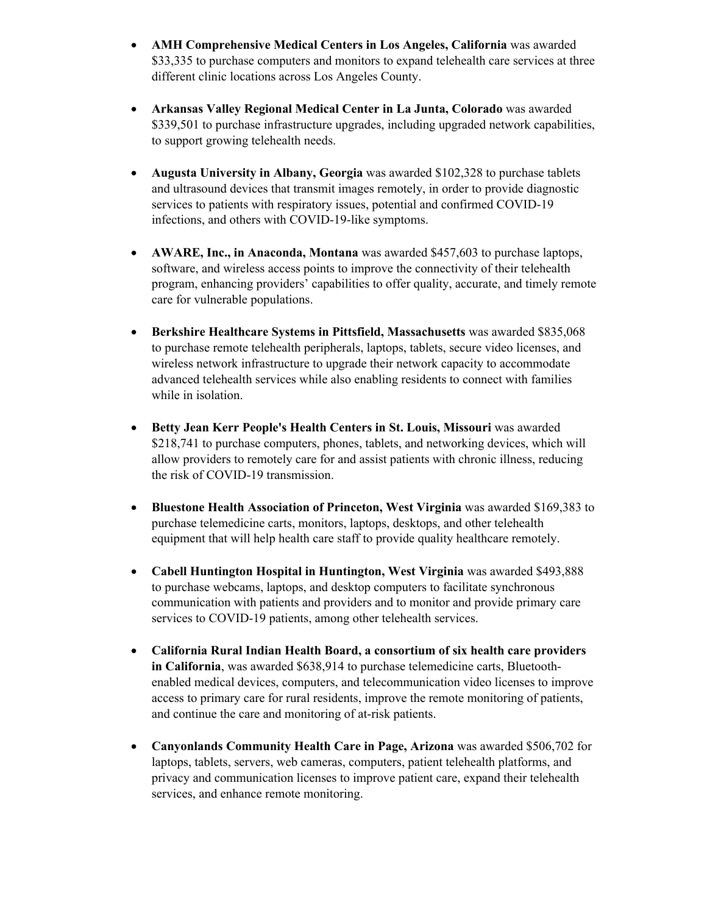- **AMH Comprehensive Medical Centers in Los Angeles, California** was awarded \$33,335 to purchase computers and monitors to expand telehealth care services at three different clinic locations across Los Angeles County.
- **Arkansas Valley Regional Medical Center in La Junta, Colorado** was awarded \$339,501 to purchase infrastructure upgrades, including upgraded network capabilities, to support growing telehealth needs.
- **Augusta University in Albany, Georgia** was awarded \$102,328 to purchase tablets and ultrasound devices that transmit images remotely, in order to provide diagnostic services to patients with respiratory issues, potential and confirmed COVID-19 infections, and others with COVID-19-like symptoms.
- **AWARE, Inc., in Anaconda, Montana** was awarded \$457,603 to purchase laptops, software, and wireless access points to improve the connectivity of their telehealth program, enhancing providers' capabilities to offer quality, accurate, and timely remote care for vulnerable populations.
- **Berkshire Healthcare Systems in Pittsfield, Massachusetts** was awarded \$835,068 to purchase remote telehealth peripherals, laptops, tablets, secure video licenses, and wireless network infrastructure to upgrade their network capacity to accommodate advanced telehealth services while also enabling residents to connect with families while in isolation.
- **Betty Jean Kerr People's Health Centers in St. Louis, Missouri** was awarded \$218,741 to purchase computers, phones, tablets, and networking devices, which will allow providers to remotely care for and assist patients with chronic illness, reducing the risk of COVID-19 transmission.
- **Bluestone Health Association of Princeton, West Virginia** was awarded \$169,383 to purchase telemedicine carts, monitors, laptops, desktops, and other telehealth equipment that will help health care staff to provide quality healthcare remotely.
- **Cabell Huntington Hospital in Huntington, West Virginia** was awarded \$493,888 to purchase webcams, laptops, and desktop computers to facilitate synchronous communication with patients and providers and to monitor and provide primary care services to COVID-19 patients, among other telehealth services.
- **California Rural Indian Health Board, a consortium of six health care providers in California**, was awarded \$638,914 to purchase telemedicine carts, Bluetoothenabled medical devices, computers, and telecommunication video licenses to improve access to primary care for rural residents, improve the remote monitoring of patients, and continue the care and monitoring of at-risk patients.
- **Canyonlands Community Health Care in Page, Arizona** was awarded \$506,702 for laptops, tablets, servers, web cameras, computers, patient telehealth platforms, and privacy and communication licenses to improve patient care, expand their telehealth services, and enhance remote monitoring.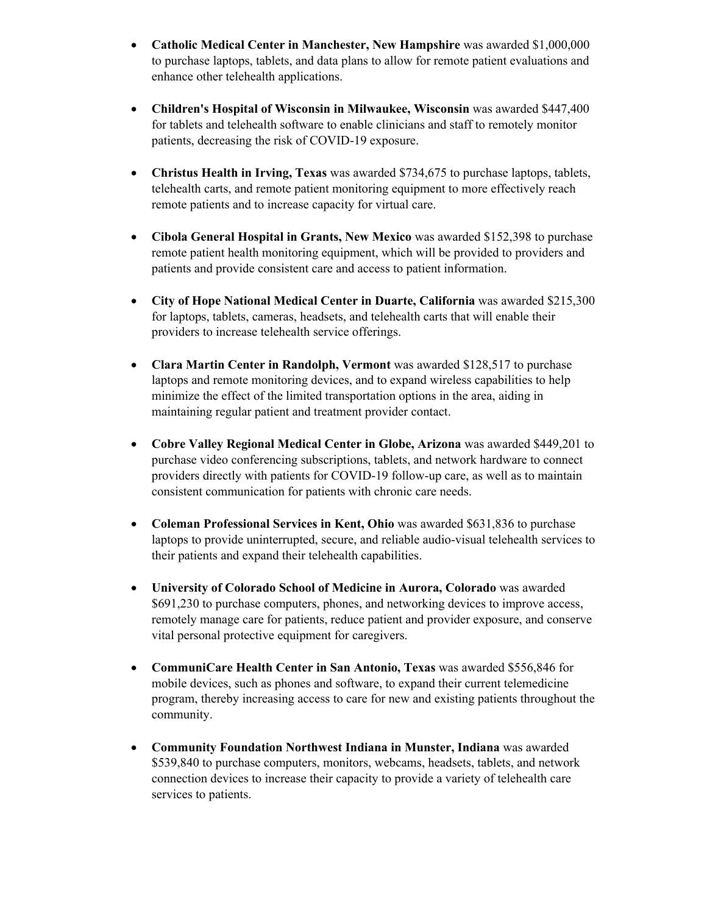- **Catholic Medical Center in Manchester, New Hampshire** was awarded \$1,000,000 to purchase laptops, tablets, and data plans to allow for remote patient evaluations and enhance other telehealth applications.
- **Children's Hospital of Wisconsin in Milwaukee, Wisconsin** was awarded \$447,400 for tablets and telehealth software to enable clinicians and staff to remotely monitor patients, decreasing the risk of COVID-19 exposure.
- **Christus Health in Irving, Texas** was awarded \$734,675 to purchase laptops, tablets, telehealth carts, and remote patient monitoring equipment to more effectively reach remote patients and to increase capacity for virtual care.
- **Cibola General Hospital in Grants, New Mexico** was awarded \$152,398 to purchase remote patient health monitoring equipment, which will be provided to providers and patients and provide consistent care and access to patient information.
- **City of Hope National Medical Center in Duarte, California** was awarded \$215,300 for laptops, tablets, cameras, headsets, and telehealth carts that will enable their providers to increase telehealth service offerings.
- **Clara Martin Center in Randolph, Vermont** was awarded \$128,517 to purchase laptops and remote monitoring devices, and to expand wireless capabilities to help minimize the effect of the limited transportation options in the area, aiding in maintaining regular patient and treatment provider contact.
- **Cobre Valley Regional Medical Center in Globe, Arizona** was awarded \$449,201 to purchase video conferencing subscriptions, tablets, and network hardware to connect providers directly with patients for COVID-19 follow-up care, as well as to maintain consistent communication for patients with chronic care needs.
- **Coleman Professional Services in Kent, Ohio** was awarded \$631,836 to purchase laptops to provide uninterrupted, secure, and reliable audio-visual telehealth services to their patients and expand their telehealth capabilities.
- **University of Colorado School of Medicine in Aurora, Colorado** was awarded \$691,230 to purchase computers, phones, and networking devices to improve access, remotely manage care for patients, reduce patient and provider exposure, and conserve vital personal protective equipment for caregivers.
- **CommuniCare Health Center in San Antonio, Texas** was awarded \$556,846 for mobile devices, such as phones and software, to expand their current telemedicine program, thereby increasing access to care for new and existing patients throughout the community.
- **Community Foundation Northwest Indiana in Munster, Indiana** was awarded \$539,840 to purchase computers, monitors, webcams, headsets, tablets, and network connection devices to increase their capacity to provide a variety of telehealth care services to patients.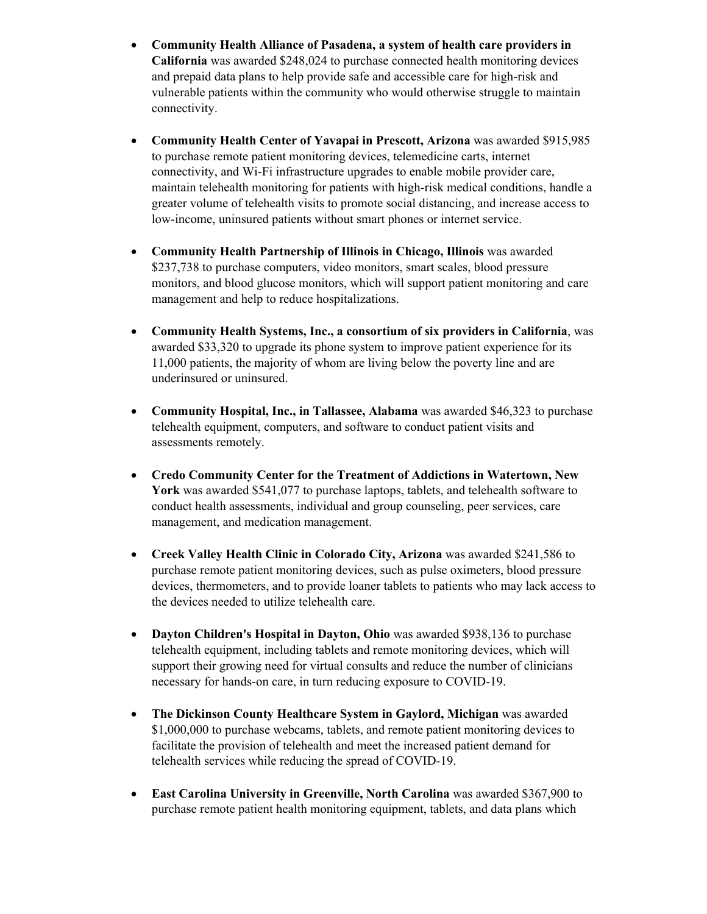- **Community Health Alliance of Pasadena, a system of health care providers in California** was awarded \$248,024 to purchase connected health monitoring devices and prepaid data plans to help provide safe and accessible care for high-risk and vulnerable patients within the community who would otherwise struggle to maintain connectivity.
- **Community Health Center of Yavapai in Prescott, Arizona** was awarded \$915,985 to purchase remote patient monitoring devices, telemedicine carts, internet connectivity, and Wi-Fi infrastructure upgrades to enable mobile provider care, maintain telehealth monitoring for patients with high-risk medical conditions, handle a greater volume of telehealth visits to promote social distancing, and increase access to low-income, uninsured patients without smart phones or internet service.
- **Community Health Partnership of Illinois in Chicago, Illinois** was awarded \$237,738 to purchase computers, video monitors, smart scales, blood pressure monitors, and blood glucose monitors, which will support patient monitoring and care management and help to reduce hospitalizations.
- **Community Health Systems, Inc., a consortium of six providers in California**, was awarded \$33,320 to upgrade its phone system to improve patient experience for its 11,000 patients, the majority of whom are living below the poverty line and are underinsured or uninsured.
- **Community Hospital, Inc., in Tallassee, Alabama** was awarded \$46,323 to purchase telehealth equipment, computers, and software to conduct patient visits and assessments remotely.
- **Credo Community Center for the Treatment of Addictions in Watertown, New York** was awarded \$541,077 to purchase laptops, tablets, and telehealth software to conduct health assessments, individual and group counseling, peer services, care management, and medication management.
- **Creek Valley Health Clinic in Colorado City, Arizona** was awarded \$241,586 to purchase remote patient monitoring devices, such as pulse oximeters, blood pressure devices, thermometers, and to provide loaner tablets to patients who may lack access to the devices needed to utilize telehealth care.
- **Dayton Children's Hospital in Dayton, Ohio** was awarded \$938,136 to purchase telehealth equipment, including tablets and remote monitoring devices, which will support their growing need for virtual consults and reduce the number of clinicians necessary for hands-on care, in turn reducing exposure to COVID-19.
- **The Dickinson County Healthcare System in Gaylord, Michigan** was awarded \$1,000,000 to purchase webcams, tablets, and remote patient monitoring devices to facilitate the provision of telehealth and meet the increased patient demand for telehealth services while reducing the spread of COVID-19.
- **East Carolina University in Greenville, North Carolina** was awarded \$367,900 to purchase remote patient health monitoring equipment, tablets, and data plans which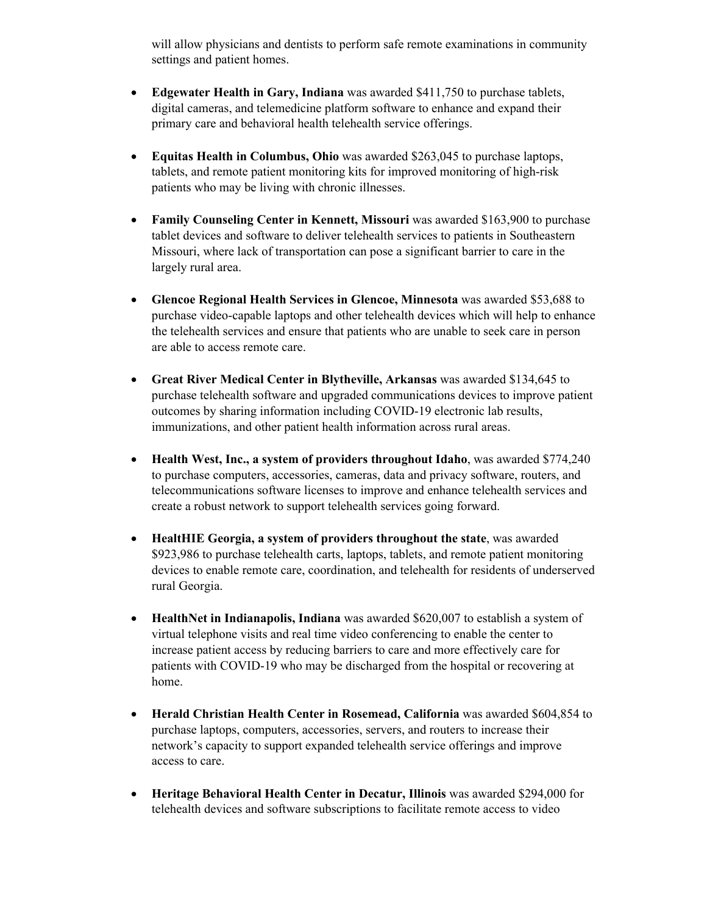will allow physicians and dentists to perform safe remote examinations in community settings and patient homes.

- **Edgewater Health in Gary, Indiana** was awarded \$411,750 to purchase tablets, digital cameras, and telemedicine platform software to enhance and expand their primary care and behavioral health telehealth service offerings.
- **Equitas Health in Columbus, Ohio** was awarded \$263,045 to purchase laptops, tablets, and remote patient monitoring kits for improved monitoring of high-risk patients who may be living with chronic illnesses.
- **Family Counseling Center in Kennett, Missouri** was awarded \$163,900 to purchase tablet devices and software to deliver telehealth services to patients in Southeastern Missouri, where lack of transportation can pose a significant barrier to care in the largely rural area.
- **Glencoe Regional Health Services in Glencoe, Minnesota** was awarded \$53,688 to purchase video-capable laptops and other telehealth devices which will help to enhance the telehealth services and ensure that patients who are unable to seek care in person are able to access remote care.
- **Great River Medical Center in Blytheville, Arkansas** was awarded \$134,645 to purchase telehealth software and upgraded communications devices to improve patient outcomes by sharing information including COVID-19 electronic lab results, immunizations, and other patient health information across rural areas.
- **Health West, Inc., a system of providers throughout Idaho**, was awarded \$774,240 to purchase computers, accessories, cameras, data and privacy software, routers, and telecommunications software licenses to improve and enhance telehealth services and create a robust network to support telehealth services going forward.
- **HealtHIE Georgia, a system of providers throughout the state**, was awarded \$923,986 to purchase telehealth carts, laptops, tablets, and remote patient monitoring devices to enable remote care, coordination, and telehealth for residents of underserved rural Georgia.
- **HealthNet in Indianapolis, Indiana** was awarded \$620,007 to establish a system of virtual telephone visits and real time video conferencing to enable the center to increase patient access by reducing barriers to care and more effectively care for patients with COVID-19 who may be discharged from the hospital or recovering at home.
- **Herald Christian Health Center in Rosemead, California** was awarded \$604,854 to purchase laptops, computers, accessories, servers, and routers to increase their network's capacity to support expanded telehealth service offerings and improve access to care.
- **Heritage Behavioral Health Center in Decatur, Illinois** was awarded \$294,000 for telehealth devices and software subscriptions to facilitate remote access to video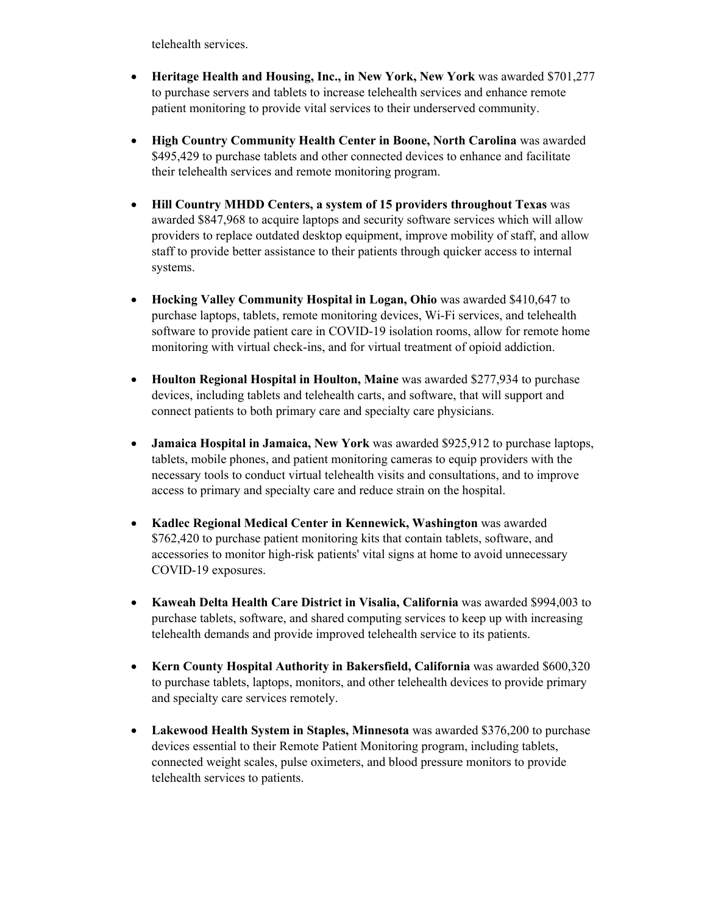telehealth services.

- **Heritage Health and Housing, Inc., in New York, New York** was awarded \$701,277 to purchase servers and tablets to increase telehealth services and enhance remote patient monitoring to provide vital services to their underserved community.
- **High Country Community Health Center in Boone, North Carolina** was awarded \$495,429 to purchase tablets and other connected devices to enhance and facilitate their telehealth services and remote monitoring program.
- **Hill Country MHDD Centers, a system of 15 providers throughout Texas** was awarded \$847,968 to acquire laptops and security software services which will allow providers to replace outdated desktop equipment, improve mobility of staff, and allow staff to provide better assistance to their patients through quicker access to internal systems.
- **Hocking Valley Community Hospital in Logan, Ohio** was awarded \$410,647 to purchase laptops, tablets, remote monitoring devices, Wi-Fi services, and telehealth software to provide patient care in COVID-19 isolation rooms, allow for remote home monitoring with virtual check-ins, and for virtual treatment of opioid addiction.
- **Houlton Regional Hospital in Houlton, Maine** was awarded \$277,934 to purchase devices, including tablets and telehealth carts, and software, that will support and connect patients to both primary care and specialty care physicians.
- **Jamaica Hospital in Jamaica, New York** was awarded \$925,912 to purchase laptops, tablets, mobile phones, and patient monitoring cameras to equip providers with the necessary tools to conduct virtual telehealth visits and consultations, and to improve access to primary and specialty care and reduce strain on the hospital.
- **Kadlec Regional Medical Center in Kennewick, Washington** was awarded \$762,420 to purchase patient monitoring kits that contain tablets, software, and accessories to monitor high-risk patients' vital signs at home to avoid unnecessary COVID-19 exposures.
- **Kaweah Delta Health Care District in Visalia, California** was awarded \$994,003 to purchase tablets, software, and shared computing services to keep up with increasing telehealth demands and provide improved telehealth service to its patients.
- **Kern County Hospital Authority in Bakersfield, California** was awarded \$600,320 to purchase tablets, laptops, monitors, and other telehealth devices to provide primary and specialty care services remotely.
- **Lakewood Health System in Staples, Minnesota** was awarded \$376,200 to purchase devices essential to their Remote Patient Monitoring program, including tablets, connected weight scales, pulse oximeters, and blood pressure monitors to provide telehealth services to patients.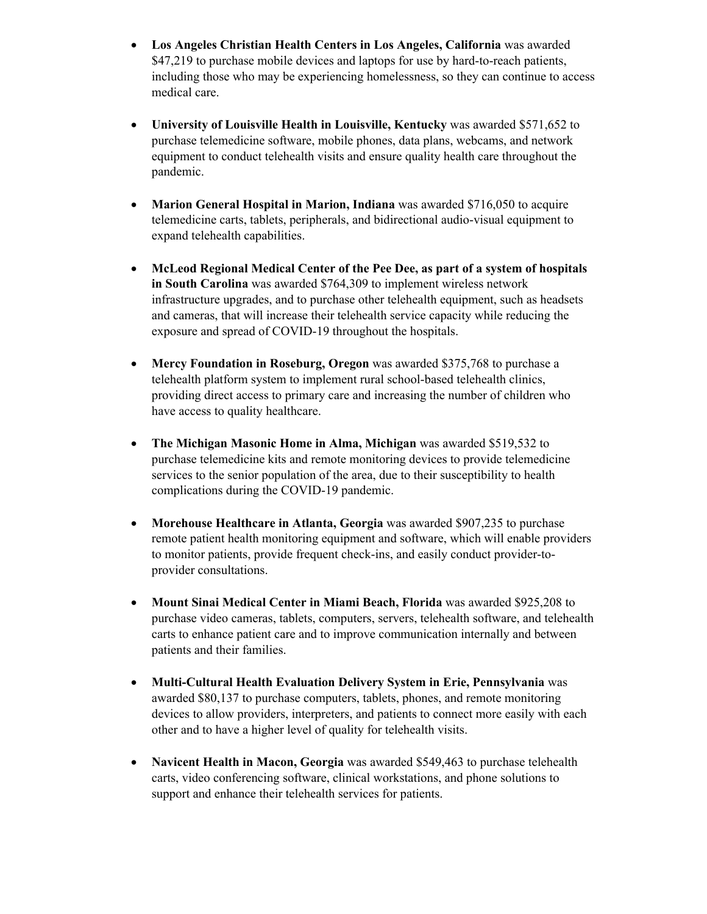- **Los Angeles Christian Health Centers in Los Angeles, California** was awarded \$47,219 to purchase mobile devices and laptops for use by hard-to-reach patients, including those who may be experiencing homelessness, so they can continue to access medical care.
- **University of Louisville Health in Louisville, Kentucky** was awarded \$571,652 to purchase telemedicine software, mobile phones, data plans, webcams, and network equipment to conduct telehealth visits and ensure quality health care throughout the pandemic.
- **Marion General Hospital in Marion, Indiana** was awarded \$716,050 to acquire telemedicine carts, tablets, peripherals, and bidirectional audio-visual equipment to expand telehealth capabilities.
- **McLeod Regional Medical Center of the Pee Dee, as part of a system of hospitals in South Carolina** was awarded \$764,309 to implement wireless network infrastructure upgrades, and to purchase other telehealth equipment, such as headsets and cameras, that will increase their telehealth service capacity while reducing the exposure and spread of COVID-19 throughout the hospitals.
- **Mercy Foundation in Roseburg, Oregon** was awarded \$375,768 to purchase a telehealth platform system to implement rural school-based telehealth clinics, providing direct access to primary care and increasing the number of children who have access to quality healthcare.
- **The Michigan Masonic Home in Alma, Michigan** was awarded \$519,532 to purchase telemedicine kits and remote monitoring devices to provide telemedicine services to the senior population of the area, due to their susceptibility to health complications during the COVID-19 pandemic.
- **Morehouse Healthcare in Atlanta, Georgia** was awarded \$907,235 to purchase remote patient health monitoring equipment and software, which will enable providers to monitor patients, provide frequent check-ins, and easily conduct provider-toprovider consultations.
- **Mount Sinai Medical Center in Miami Beach, Florida** was awarded \$925,208 to purchase video cameras, tablets, computers, servers, telehealth software, and telehealth carts to enhance patient care and to improve communication internally and between patients and their families.
- **Multi-Cultural Health Evaluation Delivery System in Erie, Pennsylvania** was awarded \$80,137 to purchase computers, tablets, phones, and remote monitoring devices to allow providers, interpreters, and patients to connect more easily with each other and to have a higher level of quality for telehealth visits.
- **Navicent Health in Macon, Georgia** was awarded \$549,463 to purchase telehealth carts, video conferencing software, clinical workstations, and phone solutions to support and enhance their telehealth services for patients.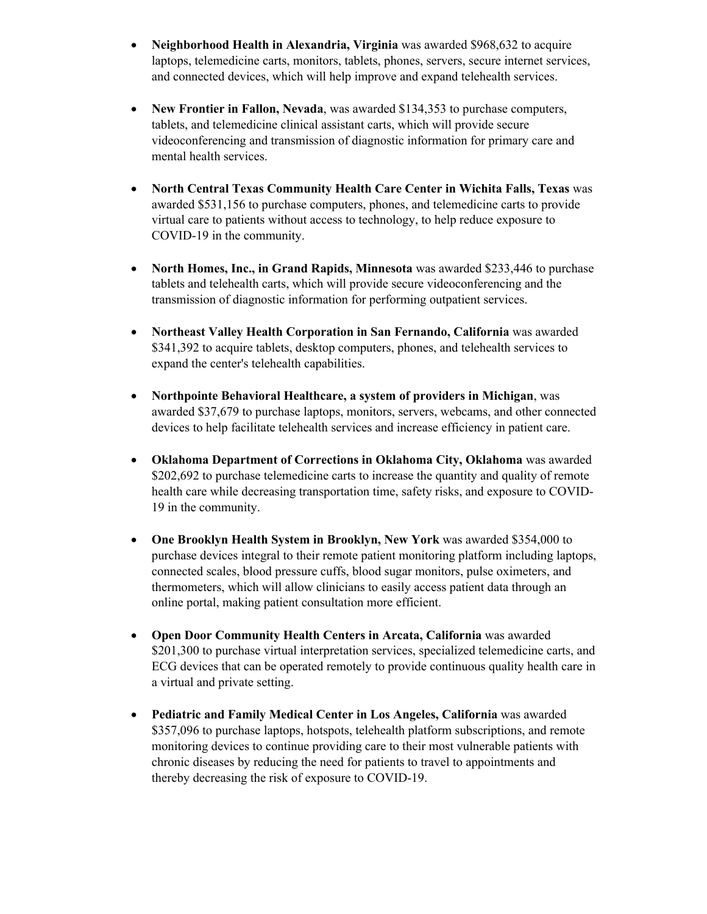- **Neighborhood Health in Alexandria, Virginia** was awarded \$968,632 to acquire laptops, telemedicine carts, monitors, tablets, phones, servers, secure internet services, and connected devices, which will help improve and expand telehealth services.
- **New Frontier in Fallon, Nevada**, was awarded \$134,353 to purchase computers, tablets, and telemedicine clinical assistant carts, which will provide secure videoconferencing and transmission of diagnostic information for primary care and mental health services.
- **North Central Texas Community Health Care Center in Wichita Falls, Texas** was awarded \$531,156 to purchase computers, phones, and telemedicine carts to provide virtual care to patients without access to technology, to help reduce exposure to COVID-19 in the community.
- **North Homes, Inc., in Grand Rapids, Minnesota** was awarded \$233,446 to purchase tablets and telehealth carts, which will provide secure videoconferencing and the transmission of diagnostic information for performing outpatient services.
- **Northeast Valley Health Corporation in San Fernando, California** was awarded \$341,392 to acquire tablets, desktop computers, phones, and telehealth services to expand the center's telehealth capabilities.
- **Northpointe Behavioral Healthcare, a system of providers in Michigan**, was awarded \$37,679 to purchase laptops, monitors, servers, webcams, and other connected devices to help facilitate telehealth services and increase efficiency in patient care.
- **Oklahoma Department of Corrections in Oklahoma City, Oklahoma** was awarded \$202,692 to purchase telemedicine carts to increase the quantity and quality of remote health care while decreasing transportation time, safety risks, and exposure to COVID-19 in the community.
- **One Brooklyn Health System in Brooklyn, New York** was awarded \$354,000 to purchase devices integral to their remote patient monitoring platform including laptops, connected scales, blood pressure cuffs, blood sugar monitors, pulse oximeters, and thermometers, which will allow clinicians to easily access patient data through an online portal, making patient consultation more efficient.
- **Open Door Community Health Centers in Arcata, California** was awarded \$201,300 to purchase virtual interpretation services, specialized telemedicine carts, and ECG devices that can be operated remotely to provide continuous quality health care in a virtual and private setting.
- **Pediatric and Family Medical Center in Los Angeles, California** was awarded \$357,096 to purchase laptops, hotspots, telehealth platform subscriptions, and remote monitoring devices to continue providing care to their most vulnerable patients with chronic diseases by reducing the need for patients to travel to appointments and thereby decreasing the risk of exposure to COVID-19.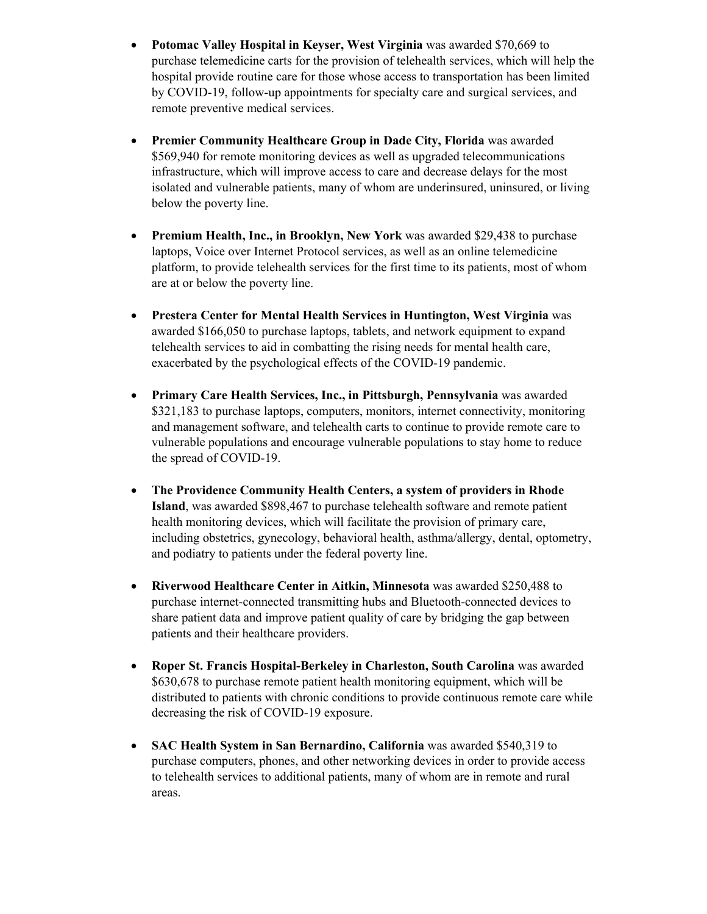- **Potomac Valley Hospital in Keyser, West Virginia** was awarded \$70,669 to purchase telemedicine carts for the provision of telehealth services, which will help the hospital provide routine care for those whose access to transportation has been limited by COVID-19, follow-up appointments for specialty care and surgical services, and remote preventive medical services.
- **Premier Community Healthcare Group in Dade City, Florida** was awarded \$569,940 for remote monitoring devices as well as upgraded telecommunications infrastructure, which will improve access to care and decrease delays for the most isolated and vulnerable patients, many of whom are underinsured, uninsured, or living below the poverty line.
- **Premium Health, Inc., in Brooklyn, New York** was awarded \$29,438 to purchase laptops, Voice over Internet Protocol services, as well as an online telemedicine platform, to provide telehealth services for the first time to its patients, most of whom are at or below the poverty line.
- **Prestera Center for Mental Health Services in Huntington, West Virginia** was awarded \$166,050 to purchase laptops, tablets, and network equipment to expand telehealth services to aid in combatting the rising needs for mental health care, exacerbated by the psychological effects of the COVID-19 pandemic.
- **Primary Care Health Services, Inc., in Pittsburgh, Pennsylvania** was awarded \$321,183 to purchase laptops, computers, monitors, internet connectivity, monitoring and management software, and telehealth carts to continue to provide remote care to vulnerable populations and encourage vulnerable populations to stay home to reduce the spread of COVID-19.
- **The Providence Community Health Centers, a system of providers in Rhode Island**, was awarded \$898,467 to purchase telehealth software and remote patient health monitoring devices, which will facilitate the provision of primary care, including obstetrics, gynecology, behavioral health, asthma/allergy, dental, optometry, and podiatry to patients under the federal poverty line.
- **Riverwood Healthcare Center in Aitkin, Minnesota** was awarded \$250,488 to purchase internet-connected transmitting hubs and Bluetooth-connected devices to share patient data and improve patient quality of care by bridging the gap between patients and their healthcare providers.
- **Roper St. Francis Hospital-Berkeley in Charleston, South Carolina** was awarded \$630,678 to purchase remote patient health monitoring equipment, which will be distributed to patients with chronic conditions to provide continuous remote care while decreasing the risk of COVID-19 exposure.
- **SAC Health System in San Bernardino, California** was awarded \$540,319 to purchase computers, phones, and other networking devices in order to provide access to telehealth services to additional patients, many of whom are in remote and rural areas.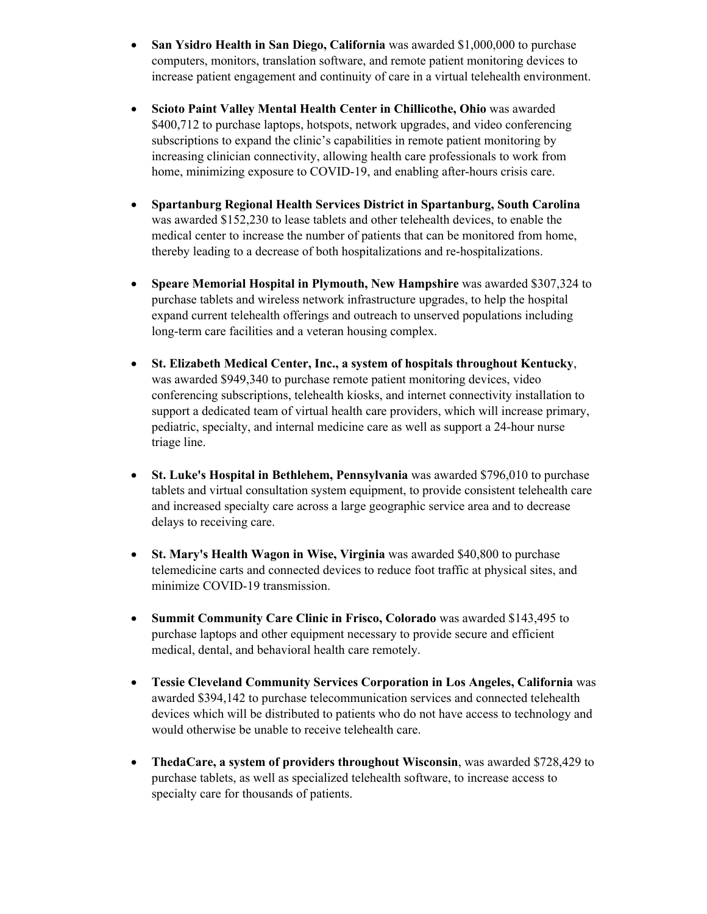- **San Ysidro Health in San Diego, California** was awarded \$1,000,000 to purchase computers, monitors, translation software, and remote patient monitoring devices to increase patient engagement and continuity of care in a virtual telehealth environment.
- **Scioto Paint Valley Mental Health Center in Chillicothe, Ohio** was awarded \$400,712 to purchase laptops, hotspots, network upgrades, and video conferencing subscriptions to expand the clinic's capabilities in remote patient monitoring by increasing clinician connectivity, allowing health care professionals to work from home, minimizing exposure to COVID-19, and enabling after-hours crisis care.
- **Spartanburg Regional Health Services District in Spartanburg, South Carolina** was awarded \$152,230 to lease tablets and other telehealth devices, to enable the medical center to increase the number of patients that can be monitored from home, thereby leading to a decrease of both hospitalizations and re-hospitalizations.
- **Speare Memorial Hospital in Plymouth, New Hampshire** was awarded \$307,324 to purchase tablets and wireless network infrastructure upgrades, to help the hospital expand current telehealth offerings and outreach to unserved populations including long-term care facilities and a veteran housing complex.
- **St. Elizabeth Medical Center, Inc., a system of hospitals throughout Kentucky**, was awarded \$949,340 to purchase remote patient monitoring devices, video conferencing subscriptions, telehealth kiosks, and internet connectivity installation to support a dedicated team of virtual health care providers, which will increase primary, pediatric, specialty, and internal medicine care as well as support a 24-hour nurse triage line.
- **St. Luke's Hospital in Bethlehem, Pennsylvania** was awarded \$796,010 to purchase tablets and virtual consultation system equipment, to provide consistent telehealth care and increased specialty care across a large geographic service area and to decrease delays to receiving care.
- **St. Mary's Health Wagon in Wise, Virginia** was awarded \$40,800 to purchase telemedicine carts and connected devices to reduce foot traffic at physical sites, and minimize COVID-19 transmission.
- **Summit Community Care Clinic in Frisco, Colorado** was awarded \$143,495 to purchase laptops and other equipment necessary to provide secure and efficient medical, dental, and behavioral health care remotely.
- **Tessie Cleveland Community Services Corporation in Los Angeles, California** was awarded \$394,142 to purchase telecommunication services and connected telehealth devices which will be distributed to patients who do not have access to technology and would otherwise be unable to receive telehealth care.
- **ThedaCare, a system of providers throughout Wisconsin**, was awarded \$728,429 to purchase tablets, as well as specialized telehealth software, to increase access to specialty care for thousands of patients.